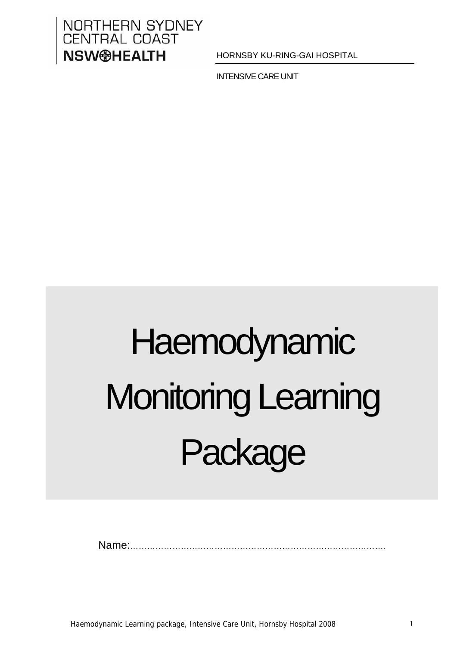# NORTHERN SYDNEY **CENTRAL COAST NSW@HEALTH**

HORNSBY KU-RING-GAI HOSPITAL

INTENSIVE CARE UNIT

# Haemodynamic Monitoring Learning Package

Name:……………………………………………………………………………….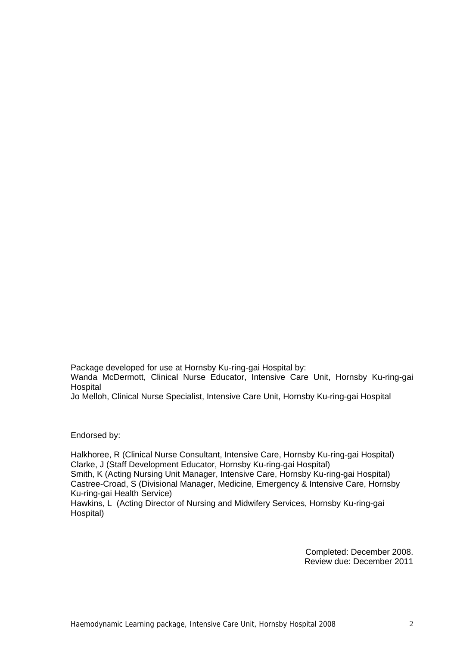Package developed for use at Hornsby Ku-ring-gai Hospital by: Wanda McDermott, Clinical Nurse Educator, Intensive Care Unit, Hornsby Ku-ring-gai Hospital

Jo Melloh, Clinical Nurse Specialist, Intensive Care Unit, Hornsby Ku-ring-gai Hospital

Endorsed by:

Halkhoree, R (Clinical Nurse Consultant, Intensive Care, Hornsby Ku-ring-gai Hospital) Clarke, J (Staff Development Educator, Hornsby Ku-ring-gai Hospital) Smith, K (Acting Nursing Unit Manager, Intensive Care, Hornsby Ku-ring-gai Hospital) Castree-Croad, S (Divisional Manager, Medicine, Emergency & Intensive Care, Hornsby Ku-ring-gai Health Service)

Hawkins, L (Acting Director of Nursing and Midwifery Services, Hornsby Ku-ring-gai Hospital)

> Completed: December 2008. Review due: December 2011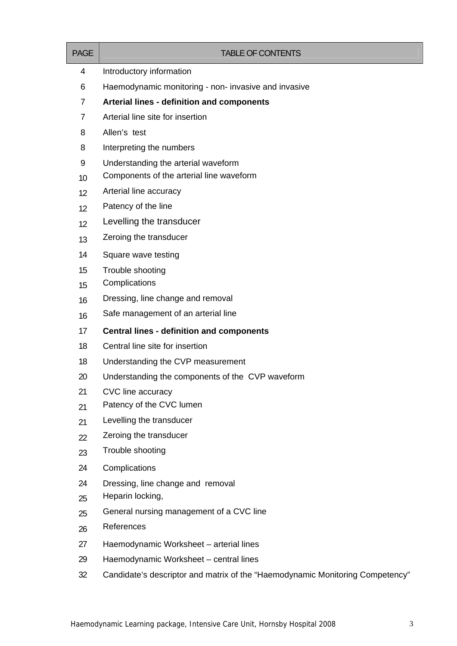| <b>PAGE</b>    | <b>TABLE OF CONTENTS</b>                                                      |
|----------------|-------------------------------------------------------------------------------|
| 4              | Introductory information                                                      |
| 6              | Haemodynamic monitoring - non- invasive and invasive                          |
| $\overline{7}$ | Arterial lines - definition and components                                    |
| $\overline{7}$ | Arterial line site for insertion                                              |
| 8              | Allen's test                                                                  |
| 8              | Interpreting the numbers                                                      |
| 9              | Understanding the arterial waveform                                           |
| 10             | Components of the arterial line waveform                                      |
| 12             | Arterial line accuracy                                                        |
| 12             | Patency of the line                                                           |
| 12             | Levelling the transducer                                                      |
| 13             | Zeroing the transducer                                                        |
| 14             | Square wave testing                                                           |
| 15             | Trouble shooting                                                              |
| 15             | Complications                                                                 |
| 16             | Dressing, line change and removal                                             |
| 16             | Safe management of an arterial line                                           |
| 17             | <b>Central lines - definition and components</b>                              |
| 18             | Central line site for insertion                                               |
| 18             | Understanding the CVP measurement                                             |
| 20             | Understanding the components of the CVP waveform                              |
| 21             | CVC line accuracy                                                             |
| 21             | Patency of the CVC lumen                                                      |
| 21             | Levelling the transducer                                                      |
| 22             | Zeroing the transducer                                                        |
| 23             | Trouble shooting                                                              |
| 24             | Complications                                                                 |
| 24             | Dressing, line change and removal                                             |
| 25             | Heparin locking,                                                              |
| 25             | General nursing management of a CVC line                                      |
| 26             | References                                                                    |
| 27             | Haemodynamic Worksheet - arterial lines                                       |
| 29             | Haemodynamic Worksheet – central lines                                        |
| 32             | Candidate's descriptor and matrix of the "Haemodynamic Monitoring Competency" |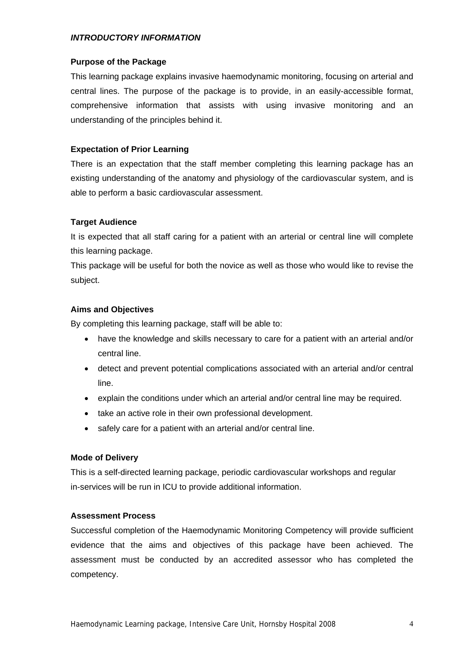## *INTRODUCTORY INFORMATION*

## **Purpose of the Package**

This learning package explains invasive haemodynamic monitoring, focusing on arterial and central lines. The purpose of the package is to provide, in an easily-accessible format, comprehensive information that assists with using invasive monitoring and an understanding of the principles behind it.

## **Expectation of Prior Learning**

There is an expectation that the staff member completing this learning package has an existing understanding of the anatomy and physiology of the cardiovascular system, and is able to perform a basic cardiovascular assessment.

## **Target Audience**

It is expected that all staff caring for a patient with an arterial or central line will complete this learning package.

This package will be useful for both the novice as well as those who would like to revise the subject.

## **Aims and Objectives**

By completing this learning package, staff will be able to:

- have the knowledge and skills necessary to care for a patient with an arterial and/or central line.
- detect and prevent potential complications associated with an arterial and/or central line.
- explain the conditions under which an arterial and/or central line may be required.
- take an active role in their own professional development.
- safely care for a patient with an arterial and/or central line.

## **Mode of Delivery**

This is a self-directed learning package, periodic cardiovascular workshops and regular in-services will be run in ICU to provide additional information.

## **Assessment Process**

Successful completion of the Haemodynamic Monitoring Competency will provide sufficient evidence that the aims and objectives of this package have been achieved. The assessment must be conducted by an accredited assessor who has completed the competency.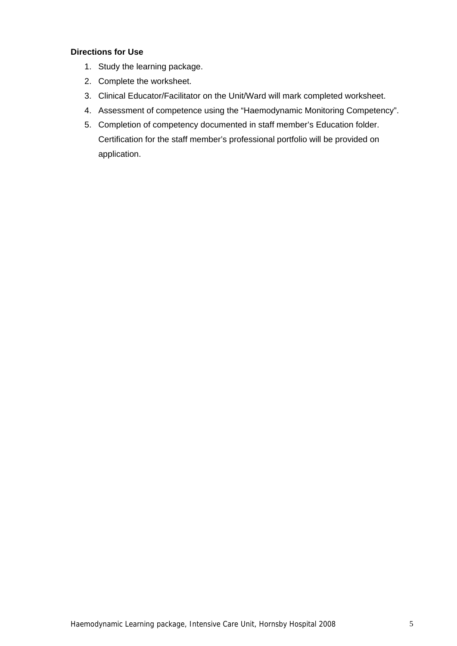## **Directions for Use**

- 1. Study the learning package.
- 2. Complete the worksheet.
- 3. Clinical Educator/Facilitator on the Unit/Ward will mark completed worksheet.
- 4. Assessment of competence using the "Haemodynamic Monitoring Competency".
- 5. Completion of competency documented in staff member's Education folder. Certification for the staff member's professional portfolio will be provided on application.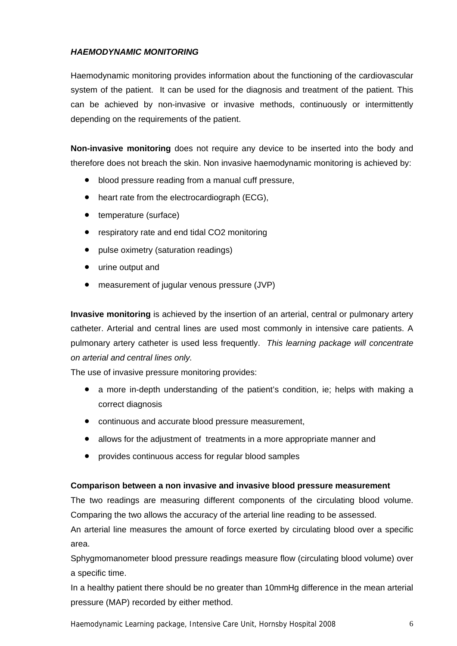## *HAEMODYNAMIC MONITORING*

Haemodynamic monitoring provides information about the functioning of the cardiovascular system of the patient. It can be used for the diagnosis and treatment of the patient. This can be achieved by non-invasive or invasive methods, continuously or intermittently depending on the requirements of the patient.

**Non-invasive monitoring** does not require any device to be inserted into the body and therefore does not breach the skin. Non invasive haemodynamic monitoring is achieved by:

- blood pressure reading from a manual cuff pressure,
- heart rate from the electrocardiograph (ECG),
- temperature (surface)
- respiratory rate and end tidal CO2 monitoring
- pulse oximetry (saturation readings)
- urine output and
- measurement of jugular venous pressure (JVP)

**Invasive monitoring** is achieved by the insertion of an arterial, central or pulmonary artery catheter. Arterial and central lines are used most commonly in intensive care patients. A pulmonary artery catheter is used less frequently. *This learning package will concentrate on arterial and central lines only.* 

The use of invasive pressure monitoring provides:

- a more in-depth understanding of the patient's condition, ie; helps with making a correct diagnosis
- continuous and accurate blood pressure measurement,
- allows for the adjustment of treatments in a more appropriate manner and
- provides continuous access for regular blood samples

## **Comparison between a non invasive and invasive blood pressure measurement**

The two readings are measuring different components of the circulating blood volume. Comparing the two allows the accuracy of the arterial line reading to be assessed.

An arterial line measures the amount of force exerted by circulating blood over a specific area.

Sphygmomanometer blood pressure readings measure flow (circulating blood volume) over a specific time.

In a healthy patient there should be no greater than 10mmHg difference in the mean arterial pressure (MAP) recorded by either method.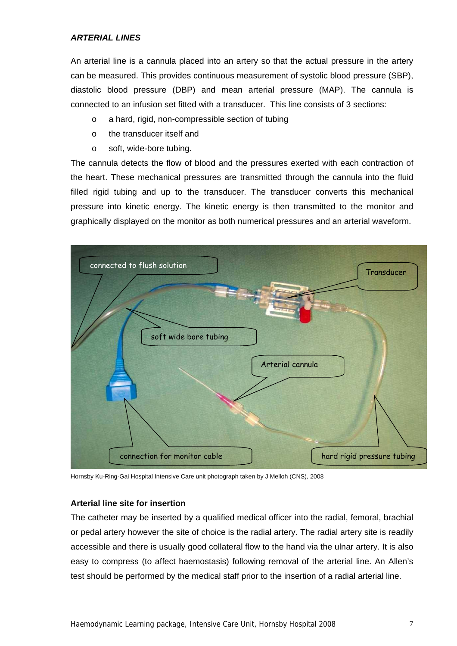## *ARTERIAL LINES*

An arterial line is a cannula placed into an artery so that the actual pressure in the artery can be measured. This provides continuous measurement of systolic blood pressure (SBP), diastolic blood pressure (DBP) and mean arterial pressure (MAP). The cannula is connected to an infusion set fitted with a transducer. This line consists of 3 sections:

- o a hard, rigid, non-compressible section of tubing
- o the transducer itself and
- o soft, wide-bore tubing.

The cannula detects the flow of blood and the pressures exerted with each contraction of the heart. These mechanical pressures are transmitted through the cannula into the fluid filled rigid tubing and up to the transducer. The transducer converts this mechanical pressure into kinetic energy. The kinetic energy is then transmitted to the monitor and graphically displayed on the monitor as both numerical pressures and an arterial waveform.



Hornsby Ku-Ring-Gai Hospital Intensive Care unit photograph taken by J Melloh (CNS), 2008

## **Arterial line site for insertion**

The catheter may be inserted by a qualified medical officer into the radial, femoral, brachial or pedal artery however the site of choice is the radial artery. The radial artery site is readily accessible and there is usually good collateral flow to the hand via the ulnar artery. It is also easy to compress (to affect haemostasis) following removal of the arterial line. An Allen's test should be performed by the medical staff prior to the insertion of a radial arterial line.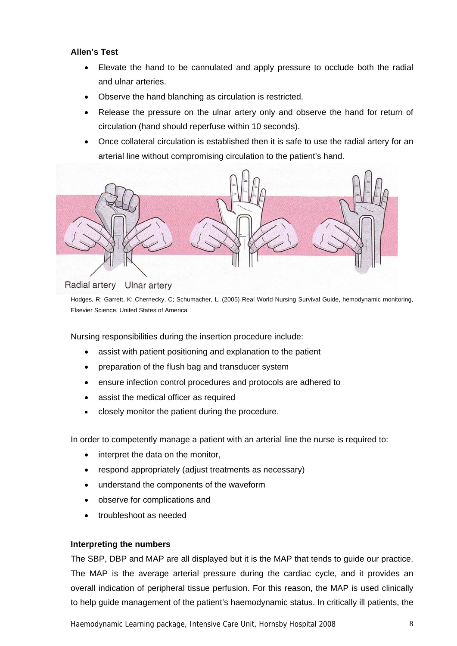## **Allen's Test**

- Elevate the hand to be cannulated and apply pressure to occlude both the radial and ulnar arteries.
- Observe the hand blanching as circulation is restricted.
- Release the pressure on the ulnar artery only and observe the hand for return of circulation (hand should reperfuse within 10 seconds).
- Once collateral circulation is established then it is safe to use the radial artery for an arterial line without compromising circulation to the patient's hand.



#### Radial artery **Ulnar artery**

Hodges, R; Garrett, K; Chernecky, C; Schumacher, L. (2005) Real World Nursing Survival Guide, hemodynamic monitoring, Elsevier Science, United States of America

Nursing responsibilities during the insertion procedure include:

- assist with patient positioning and explanation to the patient
- preparation of the flush bag and transducer system
- ensure infection control procedures and protocols are adhered to
- assist the medical officer as required
- closely monitor the patient during the procedure.

In order to competently manage a patient with an arterial line the nurse is required to:

- interpret the data on the monitor,
- respond appropriately (adjust treatments as necessary)
- understand the components of the waveform
- observe for complications and
- troubleshoot as needed

## **Interpreting the numbers**

The SBP, DBP and MAP are all displayed but it is the MAP that tends to guide our practice. The MAP is the average arterial pressure during the cardiac cycle, and it provides an overall indication of peripheral tissue perfusion. For this reason, the MAP is used clinically to help guide management of the patient's haemodynamic status. In critically ill patients, the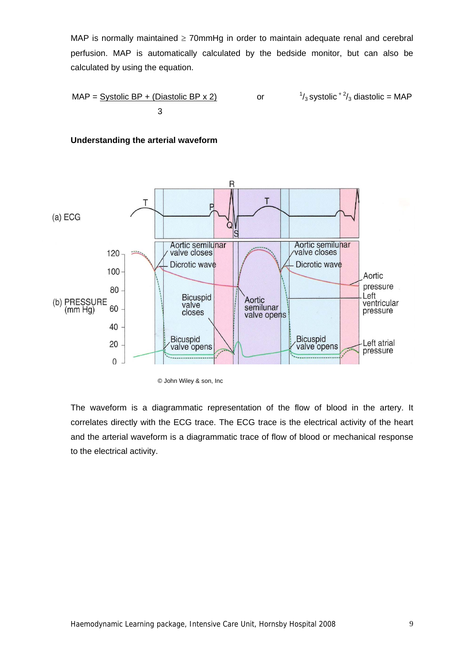MAP is normally maintained  $\geq 70$ mmHg in order to maintain adequate renal and cerebral perfusion. MAP is automatically calculated by the bedside monitor, but can also be calculated by using the equation.

$$
MAP = \underline{\text{Systolic BP} + (\text{Diastolic BP} \times 2)} \qquad \text{or} \qquad \frac{1}{3} \text{systolic}^{2}/3 \text{ diastolic} = MAP
$$





<sup>©</sup> John Wiley & son, Inc

The waveform is a diagrammatic representation of the flow of blood in the artery. It correlates directly with the ECG trace. The ECG trace is the electrical activity of the heart and the arterial waveform is a diagrammatic trace of flow of blood or mechanical response to the electrical activity.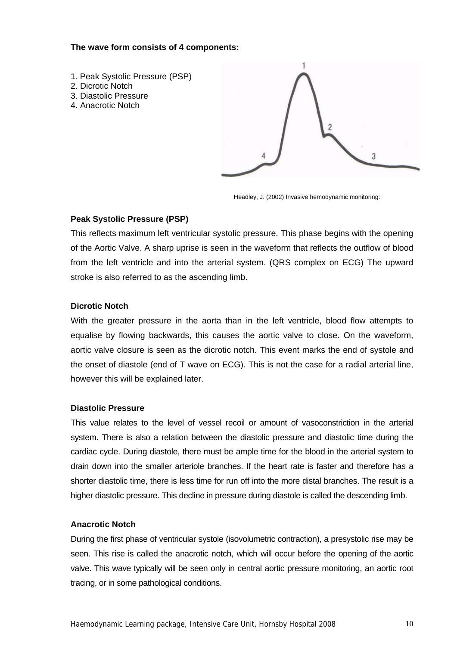## **The wave form consists of 4 components:**

- 1. Peak Systolic Pressure (PSP)
- 2. Dicrotic Notch
- 3. Diastolic Pressure
- 4. Anacrotic Notch



Headley, J. (2002) Invasive hemodynamic monitoring:

## **Peak Systolic Pressure (PSP)**

This reflects maximum left ventricular systolic pressure. This phase begins with the opening of the Aortic Valve. A sharp uprise is seen in the waveform that reflects the outflow of blood from the left ventricle and into the arterial system. (QRS complex on ECG) The upward stroke is also referred to as the ascending limb.

## **Dicrotic Notch**

With the greater pressure in the aorta than in the left ventricle, blood flow attempts to equalise by flowing backwards, this causes the aortic valve to close. On the waveform, aortic valve closure is seen as the dicrotic notch. This event marks the end of systole and the onset of diastole (end of T wave on ECG). This is not the case for a radial arterial line, however this will be explained later.

## **Diastolic Pressure**

This value relates to the level of vessel recoil or amount of vasoconstriction in the arterial system. There is also a relation between the diastolic pressure and diastolic time during the cardiac cycle. During diastole, there must be ample time for the blood in the arterial system to drain down into the smaller arteriole branches. If the heart rate is faster and therefore has a shorter diastolic time, there is less time for run off into the more distal branches. The result is a higher diastolic pressure. This decline in pressure during diastole is called the descending limb.

## **Anacrotic Notch**

During the first phase of ventricular systole (isovolumetric contraction), a presystolic rise may be seen. This rise is called the anacrotic notch, which will occur before the opening of the aortic valve. This wave typically will be seen only in central aortic pressure monitoring, an aortic root tracing, or in some pathological conditions.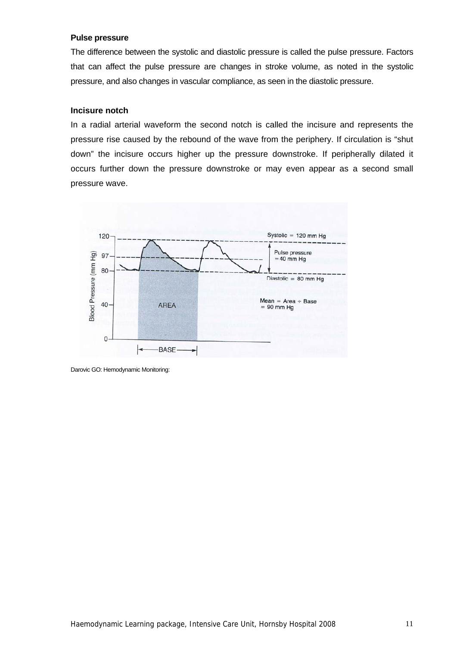## **Pulse pressure**

The difference between the systolic and diastolic pressure is called the pulse pressure. Factors that can affect the pulse pressure are changes in stroke volume, as noted in the systolic pressure, and also changes in vascular compliance, as seen in the diastolic pressure.

## **Incisure notch**

In a radial arterial waveform the second notch is called the incisure and represents the pressure rise caused by the rebound of the wave from the periphery. If circulation is "shut down" the incisure occurs higher up the pressure downstroke. If peripherally dilated it occurs further down the pressure downstroke or may even appear as a second small pressure wave.



Darovic GO: Hemodynamic Monitoring: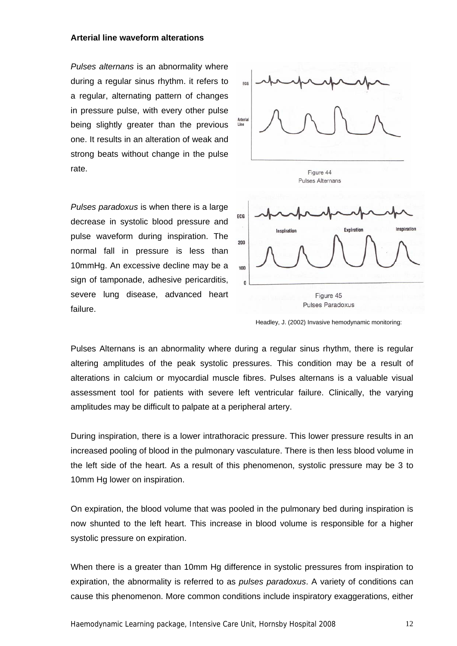## **Arterial line waveform alterations**

*Pulses alternans* is an abnormality where during a regular sinus rhythm. it refers to a regular, alternating pattern of changes in pressure pulse, with every other pulse being slightly greater than the previous one. It results in an alteration of weak and strong beats without change in the pulse rate.

*Pulses paradoxus* is when there is a large decrease in systolic blood pressure and pulse waveform during inspiration. The normal fall in pressure is less than 10mmHg. An excessive decline may be a sign of tamponade, adhesive pericarditis, severe lung disease, advanced heart failure.





Headley, J. (2002) Invasive hemodynamic monitoring:

Pulses Alternans is an abnormality where during a regular sinus rhythm, there is regular altering amplitudes of the peak systolic pressures. This condition may be a result of alterations in calcium or myocardial muscle fibres. Pulses alternans is a valuable visual assessment tool for patients with severe left ventricular failure. Clinically, the varying amplitudes may be difficult to palpate at a peripheral artery.

During inspiration, there is a lower intrathoracic pressure. This lower pressure results in an increased pooling of blood in the pulmonary vasculature. There is then less blood volume in the left side of the heart. As a result of this phenomenon, systolic pressure may be 3 to 10mm Hg lower on inspiration.

On expiration, the blood volume that was pooled in the pulmonary bed during inspiration is now shunted to the left heart. This increase in blood volume is responsible for a higher systolic pressure on expiration.

When there is a greater than 10mm Hg difference in systolic pressures from inspiration to expiration, the abnormality is referred to as *pulses paradoxus*. A variety of conditions can cause this phenomenon. More common conditions include inspiratory exaggerations, either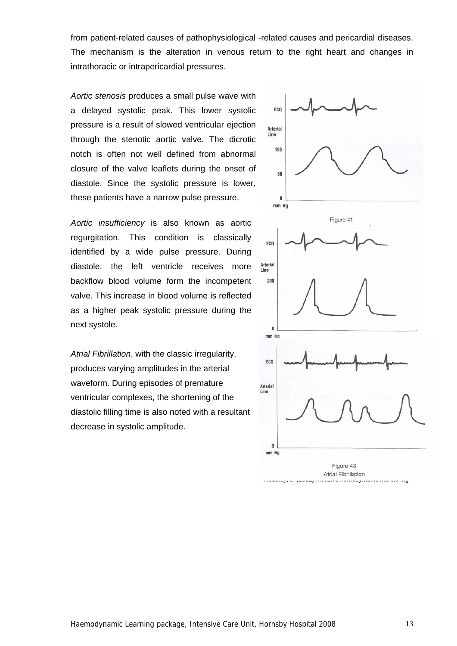from patient-related causes of pathophysiological -related causes and pericardial diseases. The mechanism is the alteration in venous return to the right heart and changes in intrathoracic or intrapericardial pressures.

*Aortic stenosis* produces a small pulse wave with a delayed systolic peak. This lower systolic pressure is a result of slowed ventricular ejection through the stenotic aortic valve. The dicrotic notch is often not well defined from abnormal closure of the valve leaflets during the onset of diastole. Since the systolic pressure is lower, these patients have a narrow pulse pressure.

*Aortic insufficiency* is also known as aortic regurgitation. This condition is classically identified by a wide pulse pressure. During diastole, the left ventricle receives more backflow blood volume form the incompetent valve. This increase in blood volume is reflected as a higher peak systolic pressure during the next systole.

*Atrial Fibrillation*, with the classic irregularity, produces varying amplitudes in the arterial waveform. During episodes of premature ventricular complexes, the shortening of the diastolic filling time is also noted with a resultant decrease in systolic amplitude.

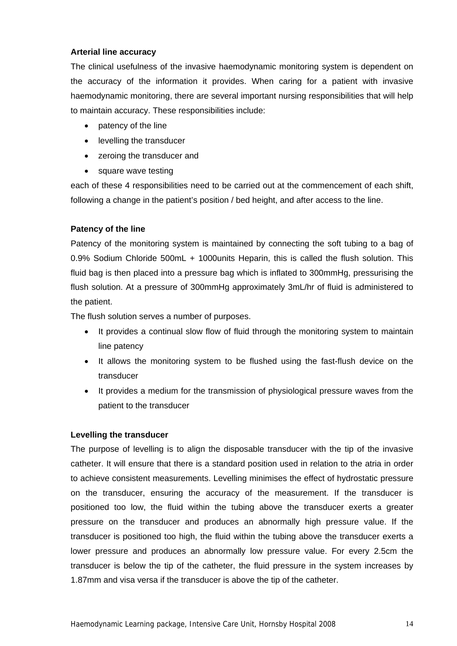## **Arterial line accuracy**

The clinical usefulness of the invasive haemodynamic monitoring system is dependent on the accuracy of the information it provides. When caring for a patient with invasive haemodynamic monitoring, there are several important nursing responsibilities that will help to maintain accuracy. These responsibilities include:

- patency of the line
- levelling the transducer
- zeroing the transducer and
- square wave testing

each of these 4 responsibilities need to be carried out at the commencement of each shift, following a change in the patient's position / bed height, and after access to the line.

## **Patency of the line**

Patency of the monitoring system is maintained by connecting the soft tubing to a bag of 0.9% Sodium Chloride 500mL + 1000units Heparin, this is called the flush solution. This fluid bag is then placed into a pressure bag which is inflated to 300mmHg, pressurising the flush solution. At a pressure of 300mmHg approximately 3mL/hr of fluid is administered to the patient.

The flush solution serves a number of purposes.

- It provides a continual slow flow of fluid through the monitoring system to maintain line patency
- It allows the monitoring system to be flushed using the fast-flush device on the transducer
- It provides a medium for the transmission of physiological pressure waves from the patient to the transducer

## **Levelling the transducer**

The purpose of levelling is to align the disposable transducer with the tip of the invasive catheter. It will ensure that there is a standard position used in relation to the atria in order to achieve consistent measurements. Levelling minimises the effect of hydrostatic pressure on the transducer, ensuring the accuracy of the measurement. If the transducer is positioned too low, the fluid within the tubing above the transducer exerts a greater pressure on the transducer and produces an abnormally high pressure value. If the transducer is positioned too high, the fluid within the tubing above the transducer exerts a lower pressure and produces an abnormally low pressure value. For every 2.5cm the transducer is below the tip of the catheter, the fluid pressure in the system increases by 1.87mm and visa versa if the transducer is above the tip of the catheter.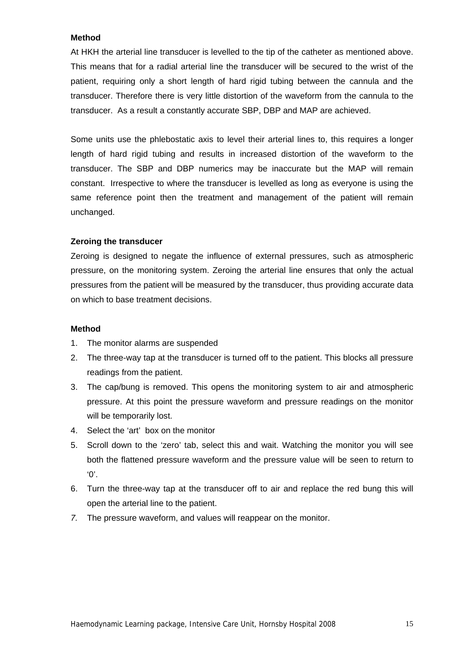## **Method**

At HKH the arterial line transducer is levelled to the tip of the catheter as mentioned above. This means that for a radial arterial line the transducer will be secured to the wrist of the patient, requiring only a short length of hard rigid tubing between the cannula and the transducer. Therefore there is very little distortion of the waveform from the cannula to the transducer. As a result a constantly accurate SBP, DBP and MAP are achieved.

Some units use the phlebostatic axis to level their arterial lines to, this requires a longer length of hard rigid tubing and results in increased distortion of the waveform to the transducer. The SBP and DBP numerics may be inaccurate but the MAP will remain constant. Irrespective to where the transducer is levelled as long as everyone is using the same reference point then the treatment and management of the patient will remain unchanged.

## **Zeroing the transducer**

Zeroing is designed to negate the influence of external pressures, such as atmospheric pressure, on the monitoring system. Zeroing the arterial line ensures that only the actual pressures from the patient will be measured by the transducer, thus providing accurate data on which to base treatment decisions.

## **Method**

- 1. The monitor alarms are suspended
- 2. The three-way tap at the transducer is turned off to the patient. This blocks all pressure readings from the patient.
- 3. The cap/bung is removed. This opens the monitoring system to air and atmospheric pressure. At this point the pressure waveform and pressure readings on the monitor will be temporarily lost.
- 4. Select the 'art' box on the monitor
- 5. Scroll down to the 'zero' tab, select this and wait. Watching the monitor you will see both the flattened pressure waveform and the pressure value will be seen to return to '0'.
- 6. Turn the three-way tap at the transducer off to air and replace the red bung this will open the arterial line to the patient.
- *7.* The pressure waveform, and values will reappear on the monitor.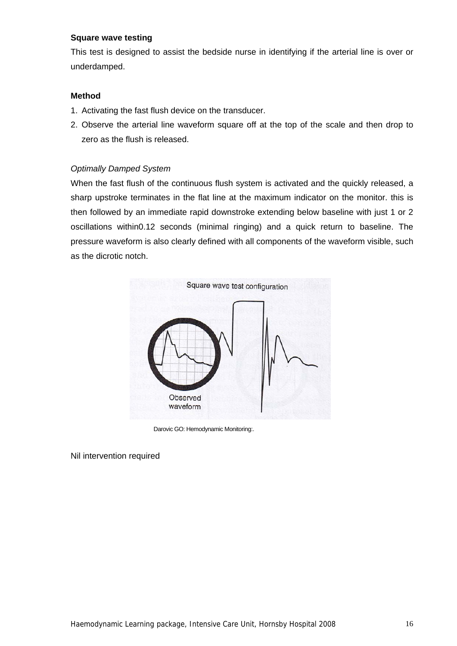## **Square wave testing**

This test is designed to assist the bedside nurse in identifying if the arterial line is over or underdamped.

## **Method**

- 1. Activating the fast flush device on the transducer.
- 2. Observe the arterial line waveform square off at the top of the scale and then drop to zero as the flush is released.

## *Optimally Damped System*

When the fast flush of the continuous flush system is activated and the quickly released, a sharp upstroke terminates in the flat line at the maximum indicator on the monitor. this is then followed by an immediate rapid downstroke extending below baseline with just 1 or 2 oscillations within0.12 seconds (minimal ringing) and a quick return to baseline. The pressure waveform is also clearly defined with all components of the waveform visible, such as the dicrotic notch.



Darovic GO: Hemodynamic Monitoring:.

Nil intervention required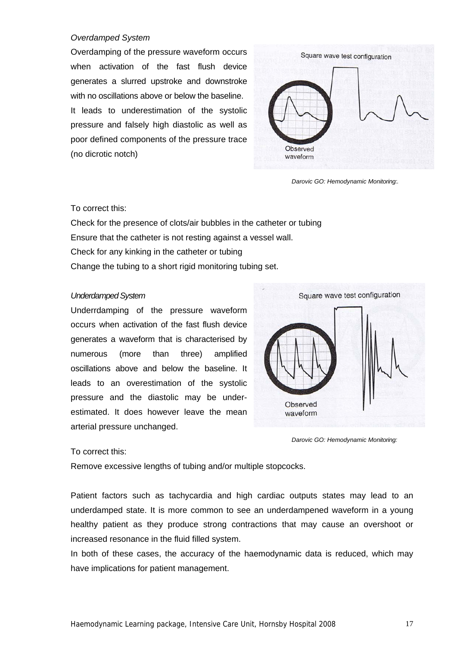## *Overdamped System*

Overdamping of the pressure waveform occurs when activation of the fast flush device generates a slurred upstroke and downstroke with no oscillations above or below the baseline. It leads to underestimation of the systolic pressure and falsely high diastolic as well as poor defined components of the pressure trace (no dicrotic notch)



 *Darovic GO: Hemodynamic Monitoring:.*

## To correct this:

Check for the presence of clots/air bubbles in the catheter or tubing Ensure that the catheter is not resting against a vessel wall. Check for any kinking in the catheter or tubing Change the tubing to a short rigid monitoring tubing set.

#### *Underdamped System*

Underrdamping of the pressure waveform occurs when activation of the fast flush device generates a waveform that is characterised by numerous (more than three) amplified oscillations above and below the baseline. It leads to an overestimation of the systolic pressure and the diastolic may be underestimated. It does however leave the mean arterial pressure unchanged.



*Darovic GO: Hemodynamic Monitoring:*

## To correct this:

Remove excessive lengths of tubing and/or multiple stopcocks.

Patient factors such as tachycardia and high cardiac outputs states may lead to an underdamped state. It is more common to see an underdampened waveform in a young healthy patient as they produce strong contractions that may cause an overshoot or increased resonance in the fluid filled system.

In both of these cases, the accuracy of the haemodynamic data is reduced, which may have implications for patient management.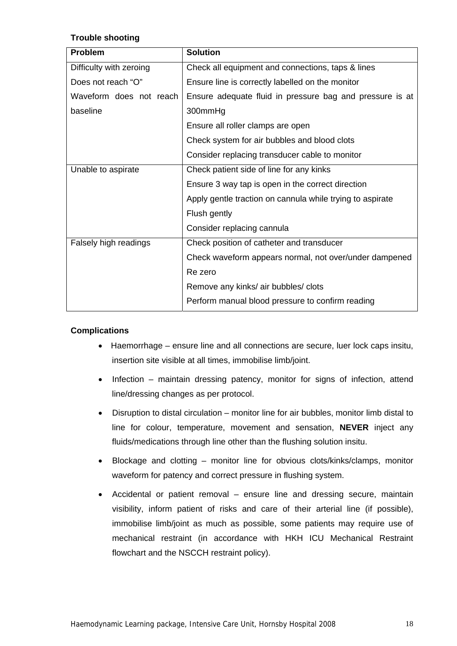## **Trouble shooting**

| <b>Problem</b>          | <b>Solution</b>                                           |
|-------------------------|-----------------------------------------------------------|
| Difficulty with zeroing | Check all equipment and connections, taps & lines         |
| Does not reach "O"      | Ensure line is correctly labelled on the monitor          |
| Waveform does not reach | Ensure adequate fluid in pressure bag and pressure is at  |
| baseline                | 300mmHg                                                   |
|                         | Ensure all roller clamps are open                         |
|                         | Check system for air bubbles and blood clots              |
|                         | Consider replacing transducer cable to monitor            |
| Unable to aspirate      | Check patient side of line for any kinks                  |
|                         | Ensure 3 way tap is open in the correct direction         |
|                         | Apply gentle traction on cannula while trying to aspirate |
|                         | Flush gently                                              |
|                         | Consider replacing cannula                                |
| Falsely high readings   | Check position of catheter and transducer                 |
|                         | Check waveform appears normal, not over/under dampened    |
|                         | Re zero                                                   |
|                         | Remove any kinks/ air bubbles/ clots                      |
|                         | Perform manual blood pressure to confirm reading          |

## **Complications**

- Haemorrhage ensure line and all connections are secure, luer lock caps insitu, insertion site visible at all times, immobilise limb/joint.
- Infection maintain dressing patency, monitor for signs of infection, attend line/dressing changes as per protocol.
- Disruption to distal circulation monitor line for air bubbles, monitor limb distal to line for colour, temperature, movement and sensation, **NEVER** inject any fluids/medications through line other than the flushing solution insitu.
- Blockage and clotting monitor line for obvious clots/kinks/clamps, monitor waveform for patency and correct pressure in flushing system.
- Accidental or patient removal ensure line and dressing secure, maintain visibility, inform patient of risks and care of their arterial line (if possible), immobilise limb/joint as much as possible, some patients may require use of mechanical restraint (in accordance with HKH ICU Mechanical Restraint flowchart and the NSCCH restraint policy).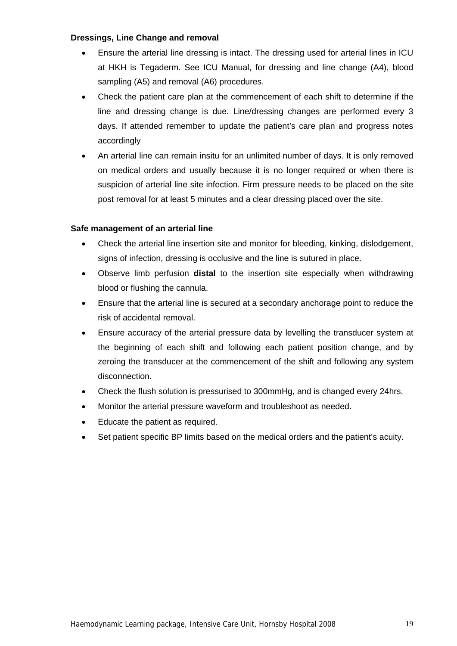## **Dressings, Line Change and removal**

- Ensure the arterial line dressing is intact. The dressing used for arterial lines in ICU at HKH is Tegaderm. See ICU Manual, for dressing and line change (A4), blood sampling (A5) and removal (A6) procedures.
- Check the patient care plan at the commencement of each shift to determine if the line and dressing change is due. Line/dressing changes are performed every 3 days. If attended remember to update the patient's care plan and progress notes accordingly
- An arterial line can remain insitu for an unlimited number of days. It is only removed on medical orders and usually because it is no longer required or when there is suspicion of arterial line site infection. Firm pressure needs to be placed on the site post removal for at least 5 minutes and a clear dressing placed over the site.

## **Safe management of an arterial line**

- Check the arterial line insertion site and monitor for bleeding, kinking, dislodgement, signs of infection, dressing is occlusive and the line is sutured in place.
- Observe limb perfusion **distal** to the insertion site especially when withdrawing blood or flushing the cannula.
- Ensure that the arterial line is secured at a secondary anchorage point to reduce the risk of accidental removal.
- Ensure accuracy of the arterial pressure data by levelling the transducer system at the beginning of each shift and following each patient position change, and by zeroing the transducer at the commencement of the shift and following any system disconnection.
- Check the flush solution is pressurised to 300mmHg, and is changed every 24hrs.
- Monitor the arterial pressure waveform and troubleshoot as needed.
- Educate the patient as required.
- Set patient specific BP limits based on the medical orders and the patient's acuity.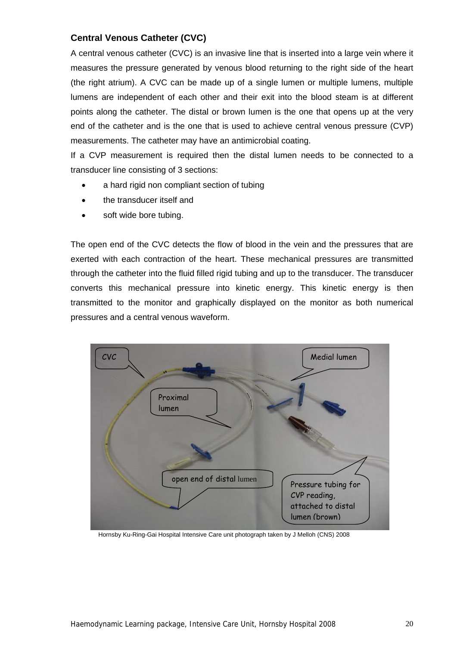## **Central Venous Catheter (CVC)**

A central venous catheter (CVC) is an invasive line that is inserted into a large vein where it measures the pressure generated by venous blood returning to the right side of the heart (the right atrium). A CVC can be made up of a single lumen or multiple lumens, multiple lumens are independent of each other and their exit into the blood steam is at different points along the catheter. The distal or brown lumen is the one that opens up at the very end of the catheter and is the one that is used to achieve central venous pressure (CVP) measurements. The catheter may have an antimicrobial coating.

If a CVP measurement is required then the distal lumen needs to be connected to a transducer line consisting of 3 sections:

- a hard rigid non compliant section of tubing
- the transducer itself and
- soft wide bore tubing.

The open end of the CVC detects the flow of blood in the vein and the pressures that are exerted with each contraction of the heart. These mechanical pressures are transmitted through the catheter into the fluid filled rigid tubing and up to the transducer. The transducer converts this mechanical pressure into kinetic energy. This kinetic energy is then transmitted to the monitor and graphically displayed on the monitor as both numerical pressures and a central venous waveform.



Hornsby Ku-Ring-Gai Hospital Intensive Care unit photograph taken by J Melloh (CNS) 2008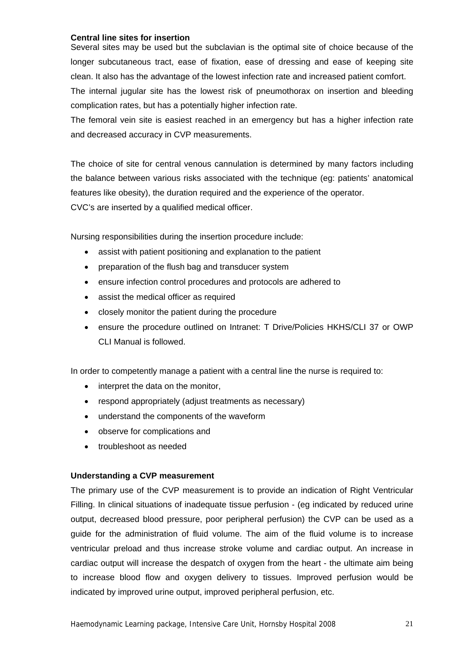## **Central line sites for insertion**

Several sites may be used but the subclavian is the optimal site of choice because of the longer subcutaneous tract, ease of fixation, ease of dressing and ease of keeping site clean. It also has the advantage of the lowest infection rate and increased patient comfort.

The internal jugular site has the lowest risk of pneumothorax on insertion and bleeding complication rates, but has a potentially higher infection rate.

The femoral vein site is easiest reached in an emergency but has a higher infection rate and decreased accuracy in CVP measurements.

The choice of site for central venous cannulation is determined by many factors including the balance between various risks associated with the technique (eg: patients' anatomical features like obesity), the duration required and the experience of the operator. CVC's are inserted by a qualified medical officer.

Nursing responsibilities during the insertion procedure include:

- assist with patient positioning and explanation to the patient
- preparation of the flush bag and transducer system
- ensure infection control procedures and protocols are adhered to
- assist the medical officer as required
- closely monitor the patient during the procedure
- ensure the procedure outlined on Intranet: T Drive/Policies HKHS/CLI 37 or OWP CLI Manual is followed.

In order to competently manage a patient with a central line the nurse is required to:

- interpret the data on the monitor,
- respond appropriately (adjust treatments as necessary)
- understand the components of the waveform
- observe for complications and
- troubleshoot as needed

## **Understanding a CVP measurement**

The primary use of the CVP measurement is to provide an indication of Right Ventricular Filling. In clinical situations of inadequate tissue perfusion - (eg indicated by reduced urine output, decreased blood pressure, poor peripheral perfusion) the CVP can be used as a guide for the administration of fluid volume. The aim of the fluid volume is to increase ventricular preload and thus increase stroke volume and cardiac output. An increase in cardiac output will increase the despatch of oxygen from the heart - the ultimate aim being to increase blood flow and oxygen delivery to tissues. Improved perfusion would be indicated by improved urine output, improved peripheral perfusion, etc.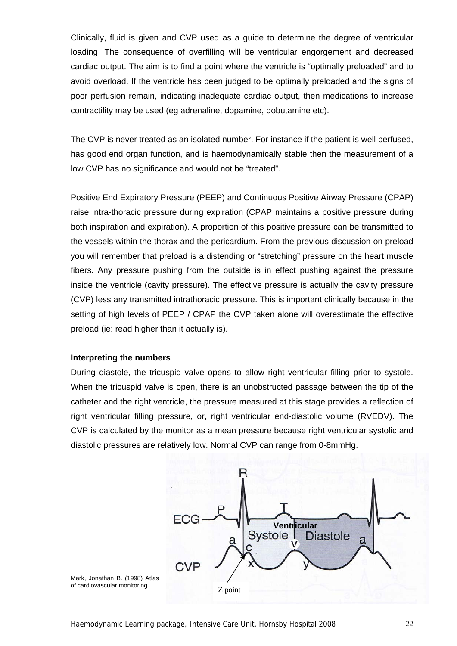Clinically, fluid is given and CVP used as a guide to determine the degree of ventricular loading. The consequence of overfilling will be ventricular engorgement and decreased cardiac output. The aim is to find a point where the ventricle is "optimally preloaded" and to avoid overload. If the ventricle has been judged to be optimally preloaded and the signs of poor perfusion remain, indicating inadequate cardiac output, then medications to increase contractility may be used (eg adrenaline, dopamine, dobutamine etc).

The CVP is never treated as an isolated number. For instance if the patient is well perfused, has good end organ function, and is haemodynamically stable then the measurement of a low CVP has no significance and would not be "treated".

Positive End Expiratory Pressure (PEEP) and Continuous Positive Airway Pressure (CPAP) raise intra-thoracic pressure during expiration (CPAP maintains a positive pressure during both inspiration and expiration). A proportion of this positive pressure can be transmitted to the vessels within the thorax and the pericardium. From the previous discussion on preload you will remember that preload is a distending or "stretching" pressure on the heart muscle fibers. Any pressure pushing from the outside is in effect pushing against the pressure inside the ventricle (cavity pressure). The effective pressure is actually the cavity pressure (CVP) less any transmitted intrathoracic pressure. This is important clinically because in the setting of high levels of PEEP / CPAP the CVP taken alone will overestimate the effective preload (ie: read higher than it actually is).

## **Interpreting the numbers**

During diastole, the tricuspid valve opens to allow right ventricular filling prior to systole. When the tricuspid valve is open, there is an unobstructed passage between the tip of the catheter and the right ventricle, the pressure measured at this stage provides a reflection of right ventricular filling pressure, or, right ventricular end-diastolic volume (RVEDV). The CVP is calculated by the monitor as a mean pressure because right ventricular systolic and diastolic pressures are relatively low. Normal CVP can range from 0-8mmHg.



Mark, Jonathan B. (1998) Atlas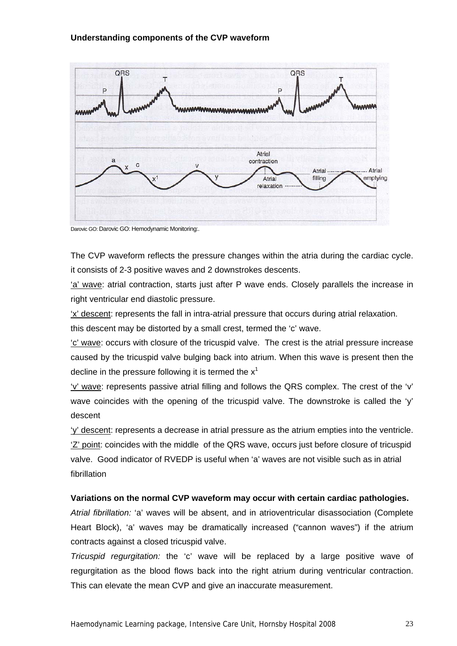

Darovic GO: Darovic GO: Hemodynamic Monitoring:.

The CVP waveform reflects the pressure changes within the atria during the cardiac cycle. it consists of 2-3 positive waves and 2 downstrokes descents.

'a' wave: atrial contraction, starts just after P wave ends. Closely parallels the increase in right ventricular end diastolic pressure.

'x' descent: represents the fall in intra-atrial pressure that occurs during atrial relaxation.

this descent may be distorted by a small crest, termed the 'c' wave.

'c' wave: occurs with closure of the tricuspid valve. The crest is the atrial pressure increase caused by the tricuspid valve bulging back into atrium. When this wave is present then the decline in the pressure following it is termed the  $x<sup>1</sup>$ 

'v' wave: represents passive atrial filling and follows the QRS complex. The crest of the 'v' wave coincides with the opening of the tricuspid valve. The downstroke is called the 'y' descent

'y' descent: represents a decrease in atrial pressure as the atrium empties into the ventricle. 'Z' point: coincides with the middle of the QRS wave, occurs just before closure of tricuspid valve. Good indicator of RVEDP is useful when 'a' waves are not visible such as in atrial fibrillation

## **Variations on the normal CVP waveform may occur with certain cardiac pathologies.**

*Atrial fibrillation:* 'a' waves will be absent, and in atrioventricular disassociation (Complete Heart Block), 'a' waves may be dramatically increased ("cannon waves") if the atrium contracts against a closed tricuspid valve.

*Tricuspid regurgitation:* the 'c' wave will be replaced by a large positive wave of regurgitation as the blood flows back into the right atrium during ventricular contraction. This can elevate the mean CVP and give an inaccurate measurement.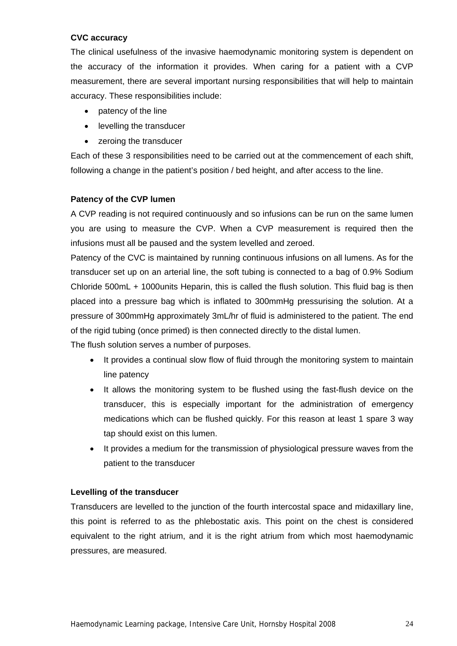## **CVC accuracy**

The clinical usefulness of the invasive haemodynamic monitoring system is dependent on the accuracy of the information it provides. When caring for a patient with a CVP measurement, there are several important nursing responsibilities that will help to maintain accuracy. These responsibilities include:

- patency of the line
- levelling the transducer
- zeroing the transducer

Each of these 3 responsibilities need to be carried out at the commencement of each shift, following a change in the patient's position / bed height, and after access to the line.

## **Patency of the CVP lumen**

A CVP reading is not required continuously and so infusions can be run on the same lumen you are using to measure the CVP. When a CVP measurement is required then the infusions must all be paused and the system levelled and zeroed.

Patency of the CVC is maintained by running continuous infusions on all lumens. As for the transducer set up on an arterial line, the soft tubing is connected to a bag of 0.9% Sodium Chloride 500mL + 1000units Heparin, this is called the flush solution. This fluid bag is then placed into a pressure bag which is inflated to 300mmHg pressurising the solution. At a pressure of 300mmHg approximately 3mL/hr of fluid is administered to the patient. The end of the rigid tubing (once primed) is then connected directly to the distal lumen.

The flush solution serves a number of purposes.

- It provides a continual slow flow of fluid through the monitoring system to maintain line patency
- It allows the monitoring system to be flushed using the fast-flush device on the transducer, this is especially important for the administration of emergency medications which can be flushed quickly. For this reason at least 1 spare 3 way tap should exist on this lumen.
- It provides a medium for the transmission of physiological pressure waves from the patient to the transducer

## **Levelling of the transducer**

Transducers are levelled to the junction of the fourth intercostal space and midaxillary line, this point is referred to as the phlebostatic axis. This point on the chest is considered equivalent to the right atrium, and it is the right atrium from which most haemodynamic pressures, are measured.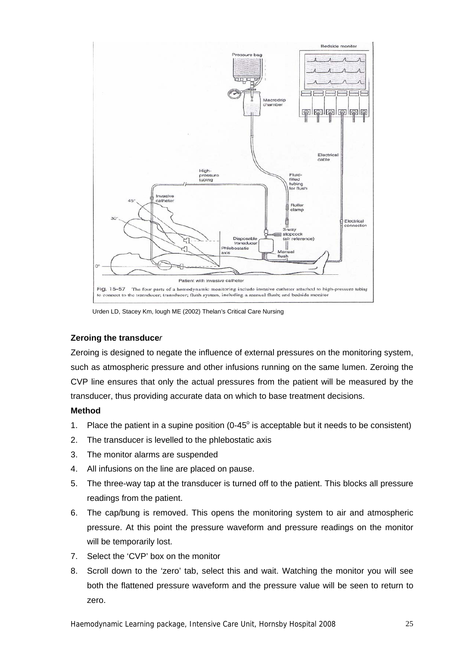

Urden LD, Stacey Km, lough ME (2002) Thelan's Critical Care Nursing

## **Zeroing the transduce***r*

Zeroing is designed to negate the influence of external pressures on the monitoring system, such as atmospheric pressure and other infusions running on the same lumen. Zeroing the CVP line ensures that only the actual pressures from the patient will be measured by the transducer, thus providing accurate data on which to base treatment decisions.

## **Method**

- 1. Place the patient in a supine position  $(0-45^\circ)$  is acceptable but it needs to be consistent)
- 2. The transducer is levelled to the phlebostatic axis
- 3. The monitor alarms are suspended
- 4. All infusions on the line are placed on pause.
- 5. The three-way tap at the transducer is turned off to the patient. This blocks all pressure readings from the patient.
- 6. The cap/bung is removed. This opens the monitoring system to air and atmospheric pressure. At this point the pressure waveform and pressure readings on the monitor will be temporarily lost.
- 7. Select the 'CVP' box on the monitor
- 8. Scroll down to the 'zero' tab, select this and wait. Watching the monitor you will see both the flattened pressure waveform and the pressure value will be seen to return to zero.

Haemodynamic Learning package, Intensive Care Unit, Hornsby Hospital 2008 25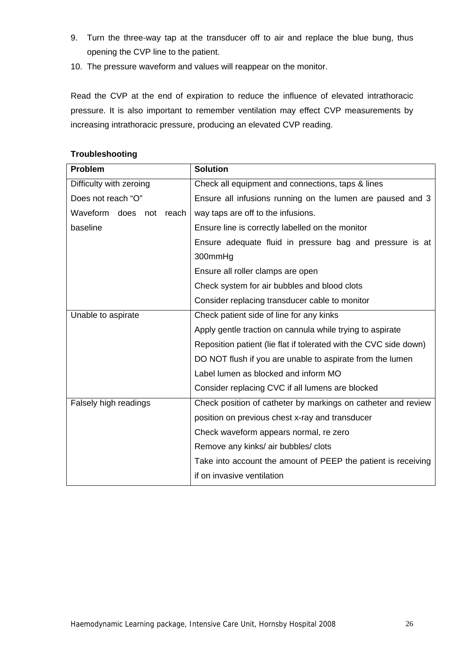- 9. Turn the three-way tap at the transducer off to air and replace the blue bung, thus opening the CVP line to the patient.
- 10. The pressure waveform and values will reappear on the monitor.

Read the CVP at the end of expiration to reduce the influence of elevated intrathoracic pressure. It is also important to remember ventilation may effect CVP measurements by increasing intrathoracic pressure, producing an elevated CVP reading.

| Problem                    | <b>Solution</b>                                                   |  |  |
|----------------------------|-------------------------------------------------------------------|--|--|
| Difficulty with zeroing    | Check all equipment and connections, taps & lines                 |  |  |
| Does not reach "O"         | Ensure all infusions running on the lumen are paused and 3        |  |  |
| Waveform does not<br>reach | way taps are off to the infusions.                                |  |  |
| baseline                   | Ensure line is correctly labelled on the monitor                  |  |  |
|                            | Ensure adequate fluid in pressure bag and pressure is at          |  |  |
|                            | 300mmHg                                                           |  |  |
|                            | Ensure all roller clamps are open                                 |  |  |
|                            | Check system for air bubbles and blood clots                      |  |  |
|                            | Consider replacing transducer cable to monitor                    |  |  |
| Unable to aspirate         | Check patient side of line for any kinks                          |  |  |
|                            | Apply gentle traction on cannula while trying to aspirate         |  |  |
|                            | Reposition patient (lie flat if tolerated with the CVC side down) |  |  |
|                            | DO NOT flush if you are unable to aspirate from the lumen         |  |  |
|                            | Label lumen as blocked and inform MO                              |  |  |
|                            | Consider replacing CVC if all lumens are blocked                  |  |  |
| Falsely high readings      | Check position of catheter by markings on catheter and review     |  |  |
|                            | position on previous chest x-ray and transducer                   |  |  |
|                            | Check waveform appears normal, re zero                            |  |  |
|                            | Remove any kinks/ air bubbles/ clots                              |  |  |
|                            | Take into account the amount of PEEP the patient is receiving     |  |  |
|                            | if on invasive ventilation                                        |  |  |

## **Troubleshooting**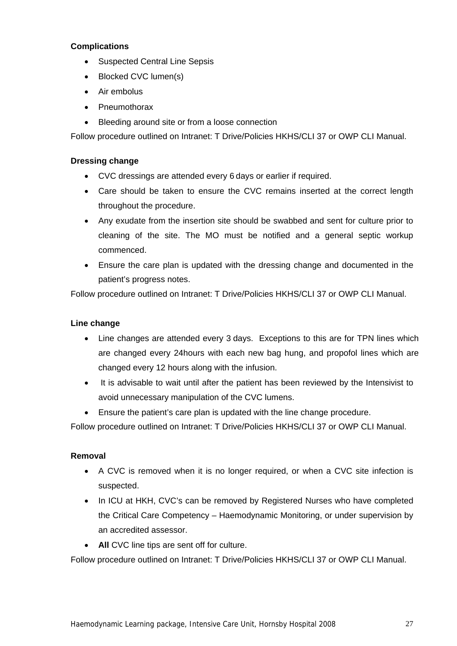## **Complications**

- Suspected Central Line Sepsis
- Blocked CVC lumen(s)
- Air embolus
- Pneumothorax
- Bleeding around site or from a loose connection

Follow procedure outlined on Intranet: T Drive/Policies HKHS/CLI 37 or OWP CLI Manual.

## **Dressing change**

- CVC dressings are attended every 6 days or earlier if required.
- Care should be taken to ensure the CVC remains inserted at the correct length throughout the procedure.
- Any exudate from the insertion site should be swabbed and sent for culture prior to cleaning of the site. The MO must be notified and a general septic workup commenced.
- Ensure the care plan is updated with the dressing change and documented in the patient's progress notes.

Follow procedure outlined on Intranet: T Drive/Policies HKHS/CLI 37 or OWP CLI Manual.

## **Line change**

- Line changes are attended every 3 days. Exceptions to this are for TPN lines which are changed every 24hours with each new bag hung, and propofol lines which are changed every 12 hours along with the infusion.
- It is advisable to wait until after the patient has been reviewed by the Intensivist to avoid unnecessary manipulation of the CVC lumens.
- Ensure the patient's care plan is updated with the line change procedure.

Follow procedure outlined on Intranet: T Drive/Policies HKHS/CLI 37 or OWP CLI Manual.

## **Removal**

- A CVC is removed when it is no longer required, or when a CVC site infection is suspected.
- In ICU at HKH, CVC's can be removed by Registered Nurses who have completed the Critical Care Competency – Haemodynamic Monitoring, or under supervision by an accredited assessor.
- **All** CVC line tips are sent off for culture.

Follow procedure outlined on Intranet: T Drive/Policies HKHS/CLI 37 or OWP CLI Manual.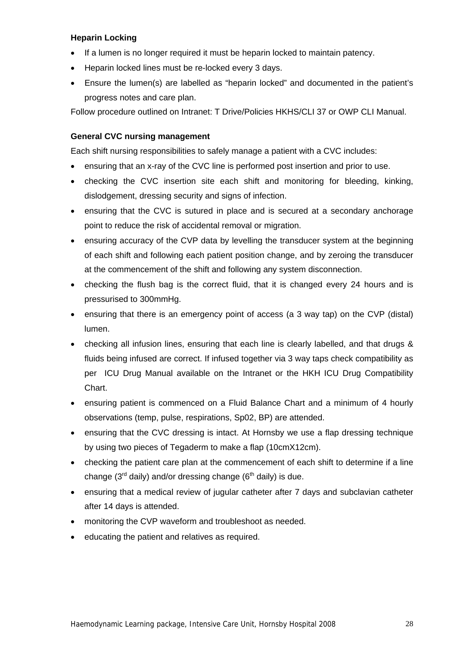## **Heparin Locking**

- If a lumen is no longer required it must be heparin locked to maintain patency.
- Heparin locked lines must be re-locked every 3 days.
- Ensure the lumen(s) are labelled as "heparin locked" and documented in the patient's progress notes and care plan.

Follow procedure outlined on Intranet: T Drive/Policies HKHS/CLI 37 or OWP CLI Manual.

## **General CVC nursing management**

Each shift nursing responsibilities to safely manage a patient with a CVC includes:

- ensuring that an x-ray of the CVC line is performed post insertion and prior to use.
- checking the CVC insertion site each shift and monitoring for bleeding, kinking, dislodgement, dressing security and signs of infection.
- ensuring that the CVC is sutured in place and is secured at a secondary anchorage point to reduce the risk of accidental removal or migration.
- ensuring accuracy of the CVP data by levelling the transducer system at the beginning of each shift and following each patient position change, and by zeroing the transducer at the commencement of the shift and following any system disconnection.
- checking the flush bag is the correct fluid, that it is changed every 24 hours and is pressurised to 300mmHg.
- ensuring that there is an emergency point of access (a 3 way tap) on the CVP (distal) lumen.
- checking all infusion lines, ensuring that each line is clearly labelled, and that drugs & fluids being infused are correct. If infused together via 3 way taps check compatibility as per ICU Drug Manual available on the Intranet or the HKH ICU Drug Compatibility Chart.
- ensuring patient is commenced on a Fluid Balance Chart and a minimum of 4 hourly observations (temp, pulse, respirations, Sp02, BP) are attended.
- ensuring that the CVC dressing is intact. At Hornsby we use a flap dressing technique by using two pieces of Tegaderm to make a flap (10cmX12cm).
- checking the patient care plan at the commencement of each shift to determine if a line change ( $3^{rd}$  daily) and/or dressing change ( $6^{th}$  daily) is due.
- ensuring that a medical review of jugular catheter after 7 days and subclavian catheter after 14 days is attended.
- monitoring the CVP waveform and troubleshoot as needed.
- educating the patient and relatives as required.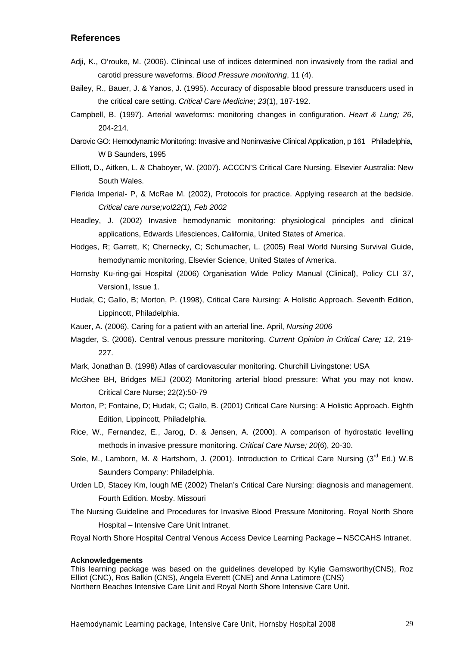## **References**

- Adji, K., O'rouke, M. (2006). Clinincal use of indices determined non invasively from the radial and carotid pressure waveforms. *Blood Pressure monitoring*, 11 (4).
- Bailey, R., Bauer, J. & Yanos, J. (1995). Accuracy of disposable blood pressure transducers used in the critical care setting. *Critical Care Medicine*; *23*(1), 187-192.
- Campbell, B. (1997). Arterial waveforms: monitoring changes in configuration. *Heart & Lung; 26*, 204-214.
- Darovic GO: Hemodynamic Monitoring: Invasive and Noninvasive Clinical Application, p 161 Philadelphia, W B Saunders, 1995
- Elliott, D., Aitken, L. & Chaboyer, W. (2007). ACCCN'S Critical Care Nursing. Elsevier Australia: New South Wales.
- Flerida Imperial- P, & McRae M. (2002), Protocols for practice. Applying research at the bedside. *Critical care nurse;vol22(1), Feb 2002*
- Headley, J. (2002) Invasive hemodynamic monitoring: physiological principles and clinical applications, Edwards Lifesciences, California, United States of America.
- Hodges, R; Garrett, K; Chernecky, C; Schumacher, L. (2005) Real World Nursing Survival Guide, hemodynamic monitoring, Elsevier Science, United States of America.
- Hornsby Ku-ring-gai Hospital (2006) Organisation Wide Policy Manual (Clinical), Policy CLI 37, Version1, Issue 1.
- Hudak, C; Gallo, B; Morton, P. (1998), Critical Care Nursing: A Holistic Approach. Seventh Edition, Lippincott, Philadelphia.
- Kauer, A. (2006). Caring for a patient with an arterial line. April, *Nursing 2006*
- Magder, S. (2006). Central venous pressure monitoring. *Current Opinion in Critical Care; 12*, 219- 227.
- Mark, Jonathan B. (1998) Atlas of cardiovascular monitoring. Churchill Livingstone: USA
- McGhee BH, Bridges MEJ (2002) Monitoring arterial blood pressure: What you may not know. Critical Care Nurse; 22(2):50-79
- Morton, P; Fontaine, D; Hudak, C; Gallo, B. (2001) Critical Care Nursing: A Holistic Approach. Eighth Edition, Lippincott, Philadelphia.
- Rice, W., Fernandez, E., Jarog, D. & Jensen, A. (2000). A comparison of hydrostatic levelling methods in invasive pressure monitoring. *Critical Care Nurse; 20*(6), 20-30.
- Sole, M., Lamborn, M. & Hartshorn, J. (2001). Introduction to Critical Care Nursing ( $3<sup>rd</sup>$  Ed.) W.B Saunders Company: Philadelphia.
- Urden LD, Stacey Km, lough ME (2002) Thelan's Critical Care Nursing: diagnosis and management. Fourth Edition. Mosby. Missouri
- The Nursing Guideline and Procedures for Invasive Blood Pressure Monitoring. Royal North Shore Hospital – Intensive Care Unit Intranet.
- Royal North Shore Hospital Central Venous Access Device Learning Package NSCCAHS Intranet.

#### **Acknowledgements**

This learning package was based on the guidelines developed by Kylie Garnsworthy(CNS), Roz Elliot (CNC), Ros Balkin (CNS), Angela Everett (CNE) and Anna Latimore (CNS) Northern Beaches Intensive Care Unit and Royal North Shore Intensive Care Unit.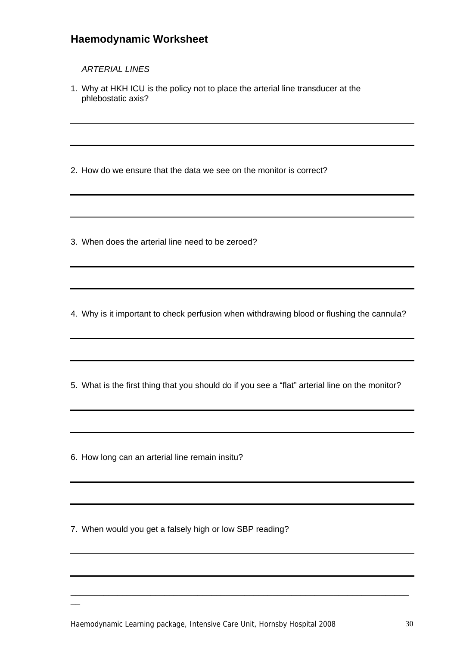## **Haemodynamic Worksheet**

## *ARTERIAL LINES*

1. Why at HKH ICU is the policy not to place the arterial line transducer at the phlebostatic axis?

2. How do we ensure that the data we see on the monitor is correct?

3. When does the arterial line need to be zeroed?

4. Why is it important to check perfusion when withdrawing blood or flushing the cannula?

5. What is the first thing that you should do if you see a "flat" arterial line on the monitor?

6. How long can an arterial line remain insitu?

 $\overline{\phantom{0}}$ 

7. When would you get a falsely high or low SBP reading?

\_\_\_\_\_\_\_\_\_\_\_\_\_\_\_\_\_\_\_\_\_\_\_\_\_\_\_\_\_\_\_\_\_\_\_\_\_\_\_\_\_\_\_\_\_\_\_\_\_\_\_\_\_\_\_\_\_\_\_\_\_\_\_\_\_\_\_\_\_\_\_\_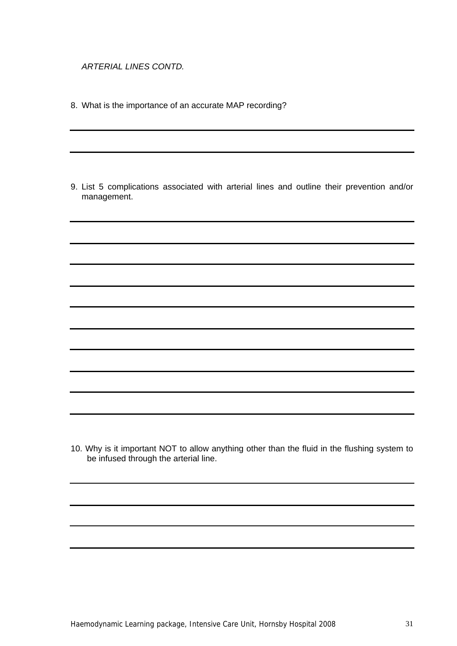*ARTERIAL LINES CONTD.* 

8. What is the importance of an accurate MAP recording?

9. List 5 complications associated with arterial lines and outline their prevention and/or management.

10. Why is it important NOT to allow anything other than the fluid in the flushing system to be infused through the arterial line.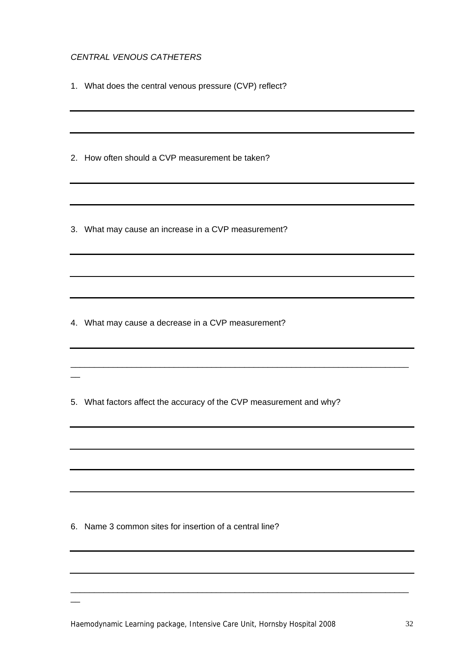## *CENTRAL VENOUS CATHETERS*

1. What does the central venous pressure (CVP) reflect?

2. How often should a CVP measurement be taken?

3. What may cause an increase in a CVP measurement?

4. What may cause a decrease in a CVP measurement?

 $\overline{\phantom{a}}$ 

 $\overline{\phantom{a}}$ 

5. What factors affect the accuracy of the CVP measurement and why?

\_\_\_\_\_\_\_\_\_\_\_\_\_\_\_\_\_\_\_\_\_\_\_\_\_\_\_\_\_\_\_\_\_\_\_\_\_\_\_\_\_\_\_\_\_\_\_\_\_\_\_\_\_\_\_\_\_\_\_\_\_\_\_\_\_\_\_\_\_\_\_\_

6. Name 3 common sites for insertion of a central line?

Haemodynamic Learning package, Intensive Care Unit, Hornsby Hospital 2008 32

\_\_\_\_\_\_\_\_\_\_\_\_\_\_\_\_\_\_\_\_\_\_\_\_\_\_\_\_\_\_\_\_\_\_\_\_\_\_\_\_\_\_\_\_\_\_\_\_\_\_\_\_\_\_\_\_\_\_\_\_\_\_\_\_\_\_\_\_\_\_\_\_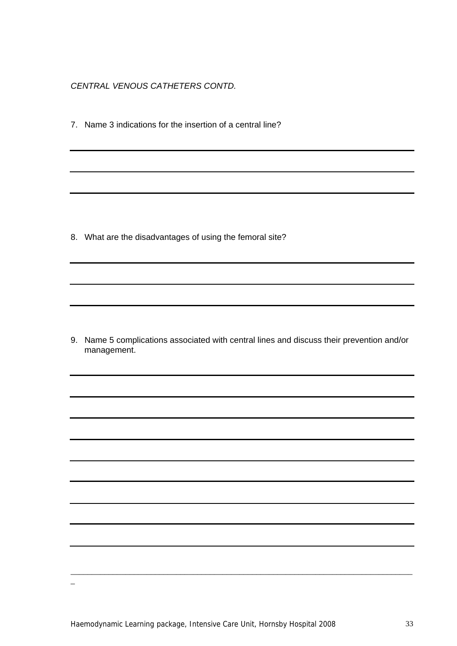*CENTRAL VENOUS CATHETERS CONTD.* 

7. Name 3 indications for the insertion of a central line?

8. What are the disadvantages of using the femoral site?

9. Name 5 complications associated with central lines and discuss their prevention and/or management.

\_\_\_\_\_\_\_\_\_\_\_\_\_\_\_\_\_\_\_\_\_\_\_\_\_\_\_\_\_\_\_\_\_\_\_\_\_\_\_\_\_\_\_\_\_\_\_\_\_\_\_\_\_\_\_\_\_\_\_\_\_\_\_\_\_\_\_\_\_\_\_\_\_\_\_\_\_\_\_\_\_

 $\overline{a}$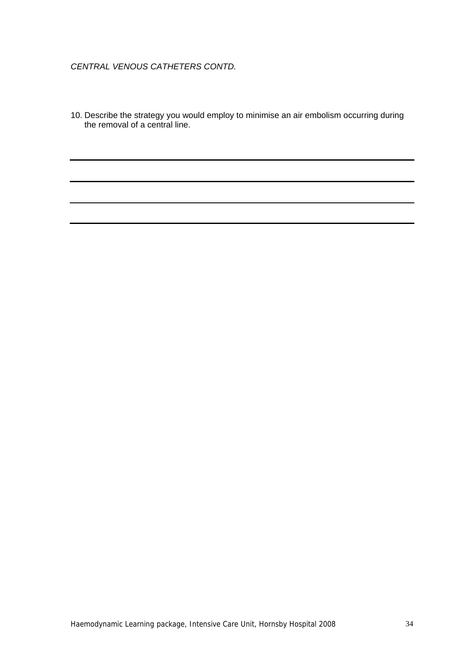## *CENTRAL VENOUS CATHETERS CONTD.*

10. Describe the strategy you would employ to minimise an air embolism occurring during the removal of a central line.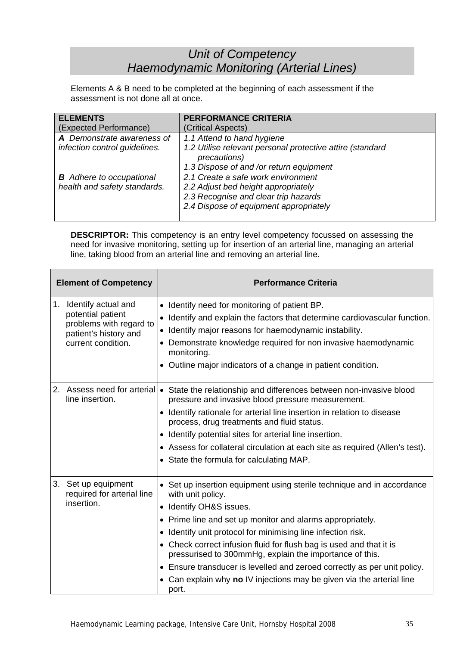# *Unit of Competency Haemodynamic Monitoring (Arterial Lines)*

Elements A & B need to be completed at the beginning of each assessment if the assessment is not done all at once.

| <b>ELEMENTS</b>                 | PERFORMANCE CRITERIA                                      |
|---------------------------------|-----------------------------------------------------------|
| (Expected Performance)          | (Critical Aspects)                                        |
| A Demonstrate awareness of      | 1.1 Attend to hand hygiene                                |
| infection control guidelines.   | 1.2 Utilise relevant personal protective attire (standard |
|                                 | precautions)                                              |
|                                 | 1.3 Dispose of and /or return equipment                   |
| <b>B</b> Adhere to occupational | 2.1 Create a safe work environment                        |
| health and safety standards.    | 2.2 Adjust bed height appropriately                       |
|                                 | 2.3 Recognise and clear trip hazards                      |
|                                 | 2.4 Dispose of equipment appropriately                    |
|                                 |                                                           |

**DESCRIPTOR:** This competency is an entry level competency focussed on assessing the need for invasive monitoring, setting up for insertion of an arterial line, managing an arterial line, taking blood from an arterial line and removing an arterial line.

| <b>Element of Competency</b>                                                                                             | <b>Performance Criteria</b>                                                                                                                                                                                                                                                                                                                                                                                                                                                                                                                                    |  |  |  |
|--------------------------------------------------------------------------------------------------------------------------|----------------------------------------------------------------------------------------------------------------------------------------------------------------------------------------------------------------------------------------------------------------------------------------------------------------------------------------------------------------------------------------------------------------------------------------------------------------------------------------------------------------------------------------------------------------|--|--|--|
| Identify actual and<br>1.<br>potential patient<br>problems with regard to<br>patient's history and<br>current condition. | Identify need for monitoring of patient BP.<br>• Identify and explain the factors that determine cardiovascular function.<br>• Identify major reasons for haemodynamic instability.<br>• Demonstrate knowledge required for non invasive haemodynamic<br>monitoring.<br>• Outline major indicators of a change in patient condition.                                                                                                                                                                                                                           |  |  |  |
| 2.<br>line insertion.                                                                                                    | Assess need for arterial   • State the relationship and differences between non-invasive blood<br>pressure and invasive blood pressure measurement.<br>• Identify rationale for arterial line insertion in relation to disease<br>process, drug treatments and fluid status.<br>• Identify potential sites for arterial line insertion.<br>• Assess for collateral circulation at each site as required (Allen's test).<br>• State the formula for calculating MAP.                                                                                            |  |  |  |
| 3.<br>Set up equipment<br>required for arterial line<br>insertion.                                                       | • Set up insertion equipment using sterile technique and in accordance<br>with unit policy.<br>• Identify OH&S issues.<br>• Prime line and set up monitor and alarms appropriately.<br>Identify unit protocol for minimising line infection risk.<br>$\bullet$<br>• Check correct infusion fluid for flush bag is used and that it is<br>pressurised to 300mmHg, explain the importance of this.<br>• Ensure transducer is levelled and zeroed correctly as per unit policy.<br>• Can explain why no IV injections may be given via the arterial line<br>port. |  |  |  |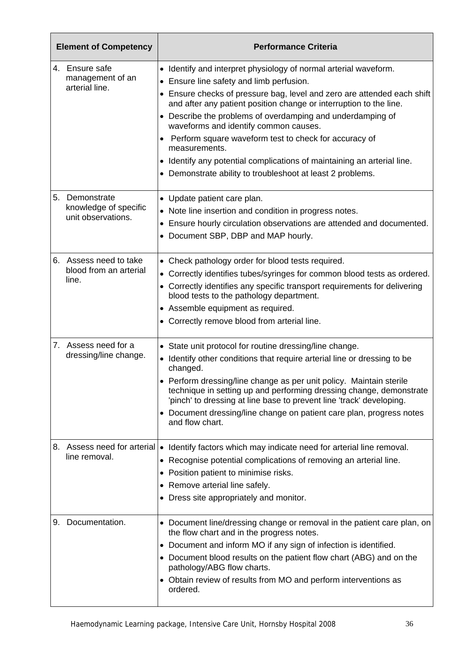| <b>Element of Competency</b> |                                                            | <b>Performance Criteria</b>                                                                                                                                                                                                                                                                                                                                                                                                                                                                                                                                                               |  |  |  |  |
|------------------------------|------------------------------------------------------------|-------------------------------------------------------------------------------------------------------------------------------------------------------------------------------------------------------------------------------------------------------------------------------------------------------------------------------------------------------------------------------------------------------------------------------------------------------------------------------------------------------------------------------------------------------------------------------------------|--|--|--|--|
|                              | 4. Ensure safe<br>management of an<br>arterial line.       | • Identify and interpret physiology of normal arterial waveform.<br>• Ensure line safety and limb perfusion.<br>• Ensure checks of pressure bag, level and zero are attended each shift<br>and after any patient position change or interruption to the line.<br>• Describe the problems of overdamping and underdamping of<br>waveforms and identify common causes.<br>• Perform square waveform test to check for accuracy of<br>measurements.<br>• Identify any potential complications of maintaining an arterial line.<br>• Demonstrate ability to troubleshoot at least 2 problems. |  |  |  |  |
| 5.                           | Demonstrate<br>knowledge of specific<br>unit observations. | • Update patient care plan.<br>• Note line insertion and condition in progress notes.<br>• Ensure hourly circulation observations are attended and documented.<br>• Document SBP, DBP and MAP hourly.                                                                                                                                                                                                                                                                                                                                                                                     |  |  |  |  |
|                              | 6. Assess need to take<br>blood from an arterial<br>line.  | • Check pathology order for blood tests required.<br>• Correctly identifies tubes/syringes for common blood tests as ordered.<br>• Correctly identifies any specific transport requirements for delivering<br>blood tests to the pathology department.<br>• Assemble equipment as required.<br>• Correctly remove blood from arterial line.                                                                                                                                                                                                                                               |  |  |  |  |
|                              | 7. Assess need for a<br>dressing/line change.              | • State unit protocol for routine dressing/line change.<br>• Identify other conditions that require arterial line or dressing to be<br>changed.<br>• Perform dressing/line change as per unit policy. Maintain sterile<br>technique in setting up and performing dressing change, demonstrate<br>'pinch' to dressing at line base to prevent line 'track' developing.<br>• Document dressing/line change on patient care plan, progress notes<br>and flow chart.                                                                                                                          |  |  |  |  |
|                              | line removal.                                              | 8. Assess need for arterial   • Identify factors which may indicate need for arterial line removal.<br>• Recognise potential complications of removing an arterial line.<br>• Position patient to minimise risks.<br>• Remove arterial line safely.<br>• Dress site appropriately and monitor.                                                                                                                                                                                                                                                                                            |  |  |  |  |
| 9.                           | Documentation.                                             | • Document line/dressing change or removal in the patient care plan, on<br>the flow chart and in the progress notes.<br>• Document and inform MO if any sign of infection is identified.<br>• Document blood results on the patient flow chart (ABG) and on the<br>pathology/ABG flow charts.<br>• Obtain review of results from MO and perform interventions as<br>ordered.                                                                                                                                                                                                              |  |  |  |  |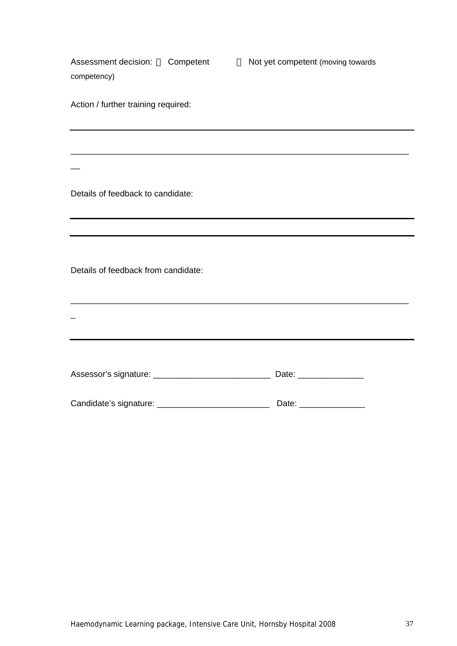| Assessment decision: □ Competent |  |
|----------------------------------|--|
| competency)                      |  |

 $\Box$  Not yet competent (moving towards

Action / further training required:

Details of feedback to candidate:

 $\overline{\phantom{a}}$ 

Details of feedback from candidate:

| Date: _________________  |
|--------------------------|
| Date: __________________ |

\_\_\_\_\_\_\_\_\_\_\_\_\_\_\_\_\_\_\_\_\_\_\_\_\_\_\_\_\_\_\_\_\_\_\_\_\_\_\_\_\_\_\_\_\_\_\_\_\_\_\_\_\_\_\_\_\_\_\_\_\_\_\_\_\_\_\_\_\_\_\_\_

\_\_\_\_\_\_\_\_\_\_\_\_\_\_\_\_\_\_\_\_\_\_\_\_\_\_\_\_\_\_\_\_\_\_\_\_\_\_\_\_\_\_\_\_\_\_\_\_\_\_\_\_\_\_\_\_\_\_\_\_\_\_\_\_\_\_\_\_\_\_\_\_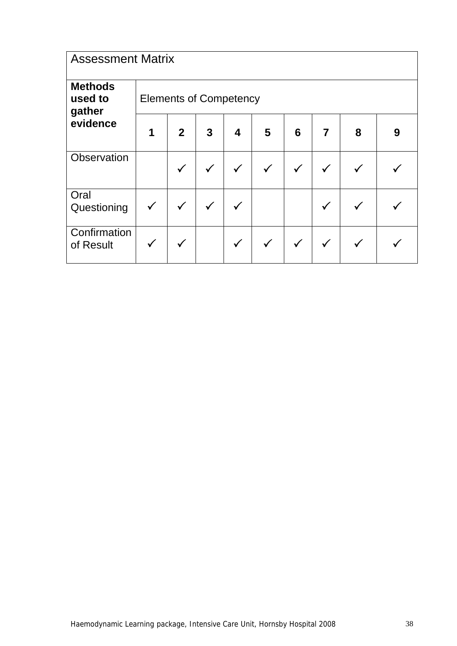| <b>Assessment Matrix</b>            |                               |                |   |              |              |              |              |   |   |
|-------------------------------------|-------------------------------|----------------|---|--------------|--------------|--------------|--------------|---|---|
| <b>Methods</b><br>used to<br>gather | <b>Elements of Competency</b> |                |   |              |              |              |              |   |   |
| evidence                            | 1                             | $\overline{2}$ | 3 | 4            | 5            | 6            | 7            | 8 | 9 |
| Observation                         |                               | ✓              | ✓ | $\checkmark$ | $\checkmark$ | $\checkmark$ | $\checkmark$ |   |   |
| Oral<br>Questioning                 |                               | $\checkmark$   | ✓ | v            |              |              | $\checkmark$ |   |   |
| Confirmation<br>of Result           |                               |                |   | ✓            |              |              | $\checkmark$ |   |   |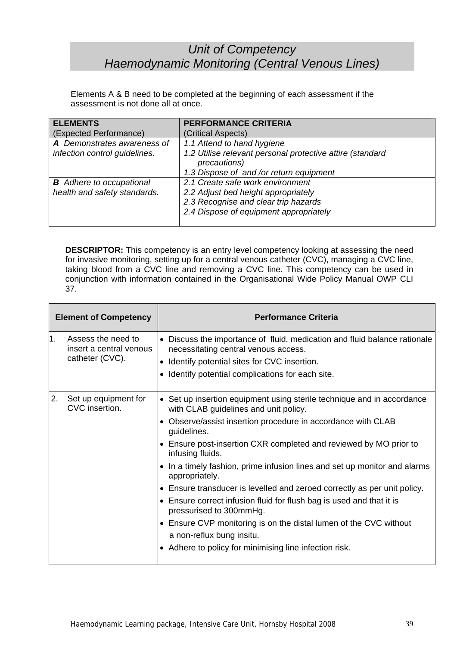# *Unit of Competency Haemodynamic Monitoring (Central Venous Lines)*

Elements A & B need to be completed at the beginning of each assessment if the assessment is not done all at once.

| <b>ELEMENTS</b>                 | <b>PERFORMANCE CRITERIA</b>                               |
|---------------------------------|-----------------------------------------------------------|
| (Expected Performance)          | (Critical Aspects)                                        |
| A Demonstrates awareness of     | 1.1 Attend to hand hygiene                                |
| infection control guidelines.   | 1.2 Utilise relevant personal protective attire (standard |
|                                 | precautions)                                              |
|                                 | 1.3 Dispose of and /or return equipment                   |
| <b>B</b> Adhere to occupational | 2.1 Create safe work environment                          |
| health and safety standards.    | 2.2 Adjust bed height appropriately                       |
|                                 | 2.3 Recognise and clear trip hazards                      |
|                                 | 2.4 Dispose of equipment appropriately                    |
|                                 |                                                           |

**DESCRIPTOR:** This competency is an entry level competency looking at assessing the need for invasive monitoring, setting up for a central venous catheter (CVC), managing a CVC line, taking blood from a CVC line and removing a CVC line. This competency can be used in conjunction with information contained in the Organisational Wide Policy Manual OWP CLI 37.

| <b>Element of Competency</b> |                                                                  | <b>Performance Criteria</b>                                                                                                                                                                                                                                                                                                                                                                                                                                                                                                                                                                                                                                                                                                     |
|------------------------------|------------------------------------------------------------------|---------------------------------------------------------------------------------------------------------------------------------------------------------------------------------------------------------------------------------------------------------------------------------------------------------------------------------------------------------------------------------------------------------------------------------------------------------------------------------------------------------------------------------------------------------------------------------------------------------------------------------------------------------------------------------------------------------------------------------|
| 1.                           | Assess the need to<br>insert a central venous<br>catheter (CVC). | • Discuss the importance of fluid, medication and fluid balance rationale<br>necessitating central venous access.<br>Identify potential sites for CVC insertion.<br>Identify potential complications for each site.                                                                                                                                                                                                                                                                                                                                                                                                                                                                                                             |
| 2.                           | Set up equipment for<br>CVC insertion.                           | • Set up insertion equipment using sterile technique and in accordance<br>with CLAB guidelines and unit policy.<br>Observe/assist insertion procedure in accordance with CLAB<br>guidelines.<br>• Ensure post-insertion CXR completed and reviewed by MO prior to<br>infusing fluids.<br>• In a timely fashion, prime infusion lines and set up monitor and alarms<br>appropriately.<br>• Ensure transducer is levelled and zeroed correctly as per unit policy.<br>• Ensure correct infusion fluid for flush bag is used and that it is<br>pressurised to 300mmHg.<br>• Ensure CVP monitoring is on the distal lumen of the CVC without<br>a non-reflux bung insitu.<br>• Adhere to policy for minimising line infection risk. |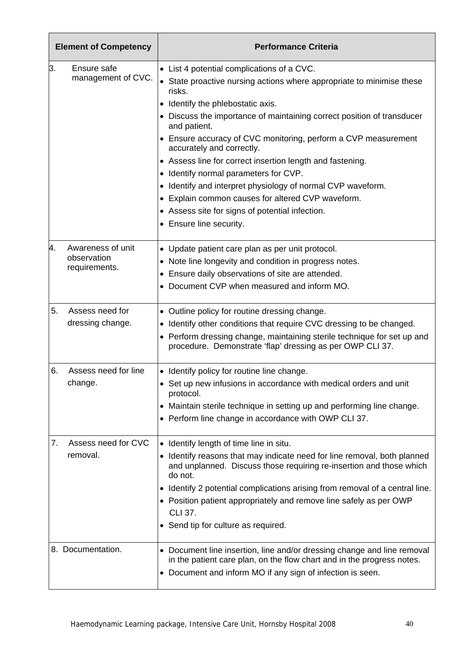| 3.<br>Ensure safe<br>• List 4 potential complications of a CVC.<br>management of CVC.<br>risks.<br>Identify the phlebostatic axis.<br>and patient.<br>• Ensure accuracy of CVC monitoring, perform a CVP measurement<br>accurately and correctly.<br>• Assess line for correct insertion length and fastening.<br>• Identify normal parameters for CVP.<br>• Identify and interpret physiology of normal CVP waveform.<br>• Explain common causes for altered CVP waveform.<br>• Assess site for signs of potential infection.<br>• Ensure line security.<br>Awareness of unit<br>4.<br>• Update patient care plan as per unit protocol.<br>observation<br>• Note line longevity and condition in progress notes.<br>requirements.<br>Ensure daily observations of site are attended.<br>• Document CVP when measured and inform MO.<br>5.<br>Assess need for<br>• Outline policy for routine dressing change.<br>dressing change.<br>• Identify other conditions that require CVC dressing to be changed.<br>procedure. Demonstrate 'flap' dressing as per OWP CLI 37.<br>6.<br>Assess need for line<br>• Identify policy for routine line change.<br>change.<br>• Set up new infusions in accordance with medical orders and unit<br>protocol.<br>• Maintain sterile technique in setting up and performing line change.<br>• Perform line change in accordance with OWP CLI 37.<br>Assess need for CVC<br>7.<br>• Identify length of time line in situ.<br>removal.<br>do not.<br>• Position patient appropriately and remove line safely as per OWP<br><b>CLI 37.</b> | <b>Element of Competency</b> |  | <b>Performance Criteria</b>                                                                                                                     |  |  |  |  |
|---------------------------------------------------------------------------------------------------------------------------------------------------------------------------------------------------------------------------------------------------------------------------------------------------------------------------------------------------------------------------------------------------------------------------------------------------------------------------------------------------------------------------------------------------------------------------------------------------------------------------------------------------------------------------------------------------------------------------------------------------------------------------------------------------------------------------------------------------------------------------------------------------------------------------------------------------------------------------------------------------------------------------------------------------------------------------------------------------------------------------------------------------------------------------------------------------------------------------------------------------------------------------------------------------------------------------------------------------------------------------------------------------------------------------------------------------------------------------------------------------------------------------------------------------------------------------|------------------------------|--|-------------------------------------------------------------------------------------------------------------------------------------------------|--|--|--|--|
|                                                                                                                                                                                                                                                                                                                                                                                                                                                                                                                                                                                                                                                                                                                                                                                                                                                                                                                                                                                                                                                                                                                                                                                                                                                                                                                                                                                                                                                                                                                                                                           |                              |  |                                                                                                                                                 |  |  |  |  |
|                                                                                                                                                                                                                                                                                                                                                                                                                                                                                                                                                                                                                                                                                                                                                                                                                                                                                                                                                                                                                                                                                                                                                                                                                                                                                                                                                                                                                                                                                                                                                                           |                              |  | • State proactive nursing actions where appropriate to minimise these                                                                           |  |  |  |  |
|                                                                                                                                                                                                                                                                                                                                                                                                                                                                                                                                                                                                                                                                                                                                                                                                                                                                                                                                                                                                                                                                                                                                                                                                                                                                                                                                                                                                                                                                                                                                                                           |                              |  |                                                                                                                                                 |  |  |  |  |
|                                                                                                                                                                                                                                                                                                                                                                                                                                                                                                                                                                                                                                                                                                                                                                                                                                                                                                                                                                                                                                                                                                                                                                                                                                                                                                                                                                                                                                                                                                                                                                           |                              |  | • Discuss the importance of maintaining correct position of transducer                                                                          |  |  |  |  |
|                                                                                                                                                                                                                                                                                                                                                                                                                                                                                                                                                                                                                                                                                                                                                                                                                                                                                                                                                                                                                                                                                                                                                                                                                                                                                                                                                                                                                                                                                                                                                                           |                              |  |                                                                                                                                                 |  |  |  |  |
|                                                                                                                                                                                                                                                                                                                                                                                                                                                                                                                                                                                                                                                                                                                                                                                                                                                                                                                                                                                                                                                                                                                                                                                                                                                                                                                                                                                                                                                                                                                                                                           |                              |  |                                                                                                                                                 |  |  |  |  |
|                                                                                                                                                                                                                                                                                                                                                                                                                                                                                                                                                                                                                                                                                                                                                                                                                                                                                                                                                                                                                                                                                                                                                                                                                                                                                                                                                                                                                                                                                                                                                                           |                              |  |                                                                                                                                                 |  |  |  |  |
|                                                                                                                                                                                                                                                                                                                                                                                                                                                                                                                                                                                                                                                                                                                                                                                                                                                                                                                                                                                                                                                                                                                                                                                                                                                                                                                                                                                                                                                                                                                                                                           |                              |  |                                                                                                                                                 |  |  |  |  |
|                                                                                                                                                                                                                                                                                                                                                                                                                                                                                                                                                                                                                                                                                                                                                                                                                                                                                                                                                                                                                                                                                                                                                                                                                                                                                                                                                                                                                                                                                                                                                                           |                              |  |                                                                                                                                                 |  |  |  |  |
|                                                                                                                                                                                                                                                                                                                                                                                                                                                                                                                                                                                                                                                                                                                                                                                                                                                                                                                                                                                                                                                                                                                                                                                                                                                                                                                                                                                                                                                                                                                                                                           |                              |  |                                                                                                                                                 |  |  |  |  |
|                                                                                                                                                                                                                                                                                                                                                                                                                                                                                                                                                                                                                                                                                                                                                                                                                                                                                                                                                                                                                                                                                                                                                                                                                                                                                                                                                                                                                                                                                                                                                                           |                              |  |                                                                                                                                                 |  |  |  |  |
|                                                                                                                                                                                                                                                                                                                                                                                                                                                                                                                                                                                                                                                                                                                                                                                                                                                                                                                                                                                                                                                                                                                                                                                                                                                                                                                                                                                                                                                                                                                                                                           |                              |  |                                                                                                                                                 |  |  |  |  |
|                                                                                                                                                                                                                                                                                                                                                                                                                                                                                                                                                                                                                                                                                                                                                                                                                                                                                                                                                                                                                                                                                                                                                                                                                                                                                                                                                                                                                                                                                                                                                                           |                              |  |                                                                                                                                                 |  |  |  |  |
|                                                                                                                                                                                                                                                                                                                                                                                                                                                                                                                                                                                                                                                                                                                                                                                                                                                                                                                                                                                                                                                                                                                                                                                                                                                                                                                                                                                                                                                                                                                                                                           |                              |  |                                                                                                                                                 |  |  |  |  |
|                                                                                                                                                                                                                                                                                                                                                                                                                                                                                                                                                                                                                                                                                                                                                                                                                                                                                                                                                                                                                                                                                                                                                                                                                                                                                                                                                                                                                                                                                                                                                                           |                              |  |                                                                                                                                                 |  |  |  |  |
|                                                                                                                                                                                                                                                                                                                                                                                                                                                                                                                                                                                                                                                                                                                                                                                                                                                                                                                                                                                                                                                                                                                                                                                                                                                                                                                                                                                                                                                                                                                                                                           |                              |  |                                                                                                                                                 |  |  |  |  |
|                                                                                                                                                                                                                                                                                                                                                                                                                                                                                                                                                                                                                                                                                                                                                                                                                                                                                                                                                                                                                                                                                                                                                                                                                                                                                                                                                                                                                                                                                                                                                                           |                              |  |                                                                                                                                                 |  |  |  |  |
|                                                                                                                                                                                                                                                                                                                                                                                                                                                                                                                                                                                                                                                                                                                                                                                                                                                                                                                                                                                                                                                                                                                                                                                                                                                                                                                                                                                                                                                                                                                                                                           |                              |  | • Perform dressing change, maintaining sterile technique for set up and                                                                         |  |  |  |  |
|                                                                                                                                                                                                                                                                                                                                                                                                                                                                                                                                                                                                                                                                                                                                                                                                                                                                                                                                                                                                                                                                                                                                                                                                                                                                                                                                                                                                                                                                                                                                                                           |                              |  |                                                                                                                                                 |  |  |  |  |
|                                                                                                                                                                                                                                                                                                                                                                                                                                                                                                                                                                                                                                                                                                                                                                                                                                                                                                                                                                                                                                                                                                                                                                                                                                                                                                                                                                                                                                                                                                                                                                           |                              |  |                                                                                                                                                 |  |  |  |  |
|                                                                                                                                                                                                                                                                                                                                                                                                                                                                                                                                                                                                                                                                                                                                                                                                                                                                                                                                                                                                                                                                                                                                                                                                                                                                                                                                                                                                                                                                                                                                                                           |                              |  |                                                                                                                                                 |  |  |  |  |
|                                                                                                                                                                                                                                                                                                                                                                                                                                                                                                                                                                                                                                                                                                                                                                                                                                                                                                                                                                                                                                                                                                                                                                                                                                                                                                                                                                                                                                                                                                                                                                           |                              |  |                                                                                                                                                 |  |  |  |  |
|                                                                                                                                                                                                                                                                                                                                                                                                                                                                                                                                                                                                                                                                                                                                                                                                                                                                                                                                                                                                                                                                                                                                                                                                                                                                                                                                                                                                                                                                                                                                                                           |                              |  |                                                                                                                                                 |  |  |  |  |
|                                                                                                                                                                                                                                                                                                                                                                                                                                                                                                                                                                                                                                                                                                                                                                                                                                                                                                                                                                                                                                                                                                                                                                                                                                                                                                                                                                                                                                                                                                                                                                           |                              |  | • Identify reasons that may indicate need for line removal, both planned<br>and unplanned. Discuss those requiring re-insertion and those which |  |  |  |  |
|                                                                                                                                                                                                                                                                                                                                                                                                                                                                                                                                                                                                                                                                                                                                                                                                                                                                                                                                                                                                                                                                                                                                                                                                                                                                                                                                                                                                                                                                                                                                                                           |                              |  | • Identify 2 potential complications arising from removal of a central line.                                                                    |  |  |  |  |
|                                                                                                                                                                                                                                                                                                                                                                                                                                                                                                                                                                                                                                                                                                                                                                                                                                                                                                                                                                                                                                                                                                                                                                                                                                                                                                                                                                                                                                                                                                                                                                           |                              |  |                                                                                                                                                 |  |  |  |  |
|                                                                                                                                                                                                                                                                                                                                                                                                                                                                                                                                                                                                                                                                                                                                                                                                                                                                                                                                                                                                                                                                                                                                                                                                                                                                                                                                                                                                                                                                                                                                                                           |                              |  | • Send tip for culture as required.                                                                                                             |  |  |  |  |
| 8. Documentation.<br>in the patient care plan, on the flow chart and in the progress notes.<br>• Document and inform MO if any sign of infection is seen.                                                                                                                                                                                                                                                                                                                                                                                                                                                                                                                                                                                                                                                                                                                                                                                                                                                                                                                                                                                                                                                                                                                                                                                                                                                                                                                                                                                                                 |                              |  | • Document line insertion, line and/or dressing change and line removal                                                                         |  |  |  |  |